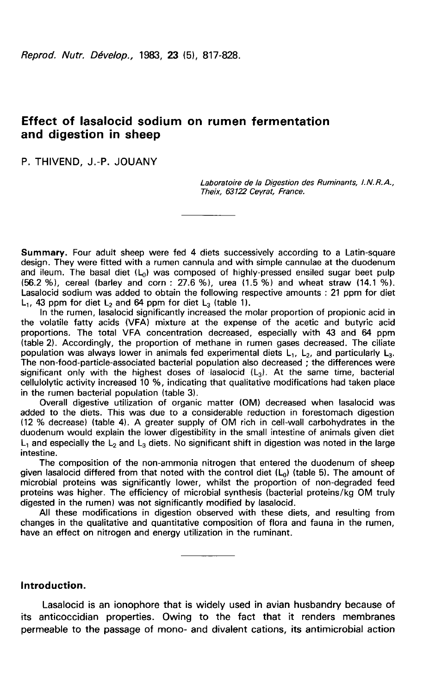# Effect of lasalocid sodium on rumen fermentation and digestion in sheep

P. THIVEND, J.-P. JOUANY

Laboratoire de la Digestion des Ruminants, 1. N. R. A., Theix, 63122 Ceyrat, France.

Summary. Four adult sheep were fed 4 diets successively according to a Latin-square design. They were fitted with a rumen cannula and with simple cannulae at the duodenum and ileum. The basal diet  $(L_0)$  was composed of highly-pressed ensiled sugar beet pulp (56.2 %), cereal (barley and corn : 27.6 %), urea (1.5 %) and wheat straw (14.1 %). Lasalocid sodium was added to obtain the following respective amounts : 21 ppm for diet L<sub>1</sub>, 43 ppm for diet L<sub>2</sub> and 64 ppm for diet L<sub>3</sub> (table 1).

In the rumen, lasalocid significantly increased the molar proportion of propionic acid in the volatile fatty acids (VFA) mixture at the expense of the acetic and butyric acid proportions. The total VFA concentration decreased, especially with 43 and 64 ppm (table 2). Accordingly, the proportion of methane in rumen gases decreased. The ciliate population was always lower in animals fed experimental diets  $L_1$ ,  $L_2$ , and particularly  $L_3$ .<br>The non-food-particle-associated bacterial population also decreased ; the differences were significant only with the hig The non-food-particle-associated bacterial population also decreased ; the differences were cellulolytic activity increased 10 %, indicating that qualitative modifications had taken place in the rumen bacterial population (table 3).

Overall digestive utilization of organic matter (OM) decreased when lasalocid was added to the diets. This was due to a considerable reduction in forestomach digestion (12 % decrease) (table 4). A greater supply of OM rich in cell-wall carbohydrates in the duodenum would explain the lower digestibility in the small intestine of animals given diet  $L_1$  and especially the  $L_2$  and  $L_3$  diets. No significant shift in digestion was noted in the large intestine.

The composition of the non-ammonia nitrogen that entered the duodenum of sheep given lasalocid differed from that noted with the control diet (Lo) (table 5). The amount of microbial proteins was significantly lower, whilst the proportion of non-degraded feed proteins was higher. The efficiency of microbial synthesis (bacterial proteins/kg OM truly digested in the rumen) was not significantly modified by lasalocid.

All these modifications in digestion observed with these diets, and resulting from changes in the qualitative and quantitative composition of flora and fauna in the rumen, have an effect on nitrogen and energy utilization in the ruminant.

#### Introduction.

Lasalocid is an ionophore that is widely used in avian husbandry because of its anticoccidian properties. Owing to the fact that it renders membranes permeable to the passage of mono- and divalent cations, its antimicrobial action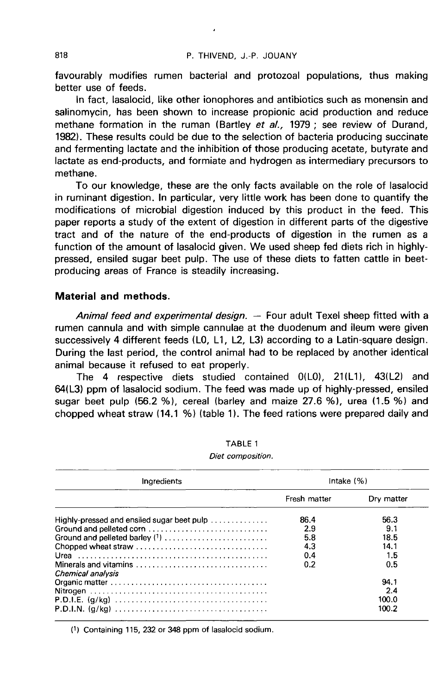favourably modifies rumen bacterial and protozoal populations, thus making better use of feeds.

In fact, lasalocid, like other ionophores and antibiotics such as monensin and salinomycin, has been shown to increase propionic acid production and reduce methane formation in the ruman (Bartley et al., 1979; see review of Durand, 1982). These results could be due to the selection of bacteria producing succinate and fermenting lactate and the inhibition of those producing acetate, butyrate and lactate as end-products, and formiate and hydrogen as intermediary precursors to methane.

To our knowledge, these are the only facts available on the role of lasalocid in ruminant digestion. In particular, very little work has been done to quantify the modifications of microbial digestion induced by this product in the feed. This paper reports a study of the extent of digestion in different parts of the digestive tract and of the nature of the end-products of digestion in the rumen as a function of the amount of lasalocid given. We used sheep fed diets rich in highlypressed, ensiled sugar beet pulp. The use of these diets to fatten cattle in beetproducing areas of France is steadily increasing.

## Material and methods.

Animal feed and experimental design. - Four adult Texel sheep fitted with a rumen cannula and with simple cannulae at the duodenum and ileum were given successively 4 different feeds (L0, L1, L2, L3) according to a Latin-square design. During the last period, the control animal had to be replaced by another identical animal because it refused to eat properly.

The 4 respective diets studied contained  $O(LO)$ ,  $21(L1)$ ,  $43(L2)$  and 64(L3) ppm of lasalocid sodium. The feed was made up of highly-pressed, ensiled sugar beet pulp (56.2 %), cereal (barley and maize 27.6 %), urea (1.5 %) and chopped wheat straw 114.1 %) (table 11. The feed rations were prepared daily and

| Ingredients                                | Intake $(% )$ |            |  |
|--------------------------------------------|---------------|------------|--|
|                                            | Fresh matter  | Dry matter |  |
| Highly-pressed and ensiled sugar beet pulp | 86.4          | 56.3       |  |
|                                            | 2.9           | 9.1        |  |
| Ground and pelleted barley (1)             | 5.8           | 18.5       |  |
| Chopped wheat straw                        | 4.3           | 14.1       |  |
|                                            | 0.4           | 1.5        |  |
| Chemical analysis                          | 0.2           | 0.5        |  |
|                                            |               | 94.1       |  |
|                                            |               | 2.4        |  |
|                                            |               | 100.0      |  |
|                                            |               | 100.2      |  |

### TABLE 1 Diet composition.

(1) Containing 115, 232 or 348 ppm of lasalocid sodium.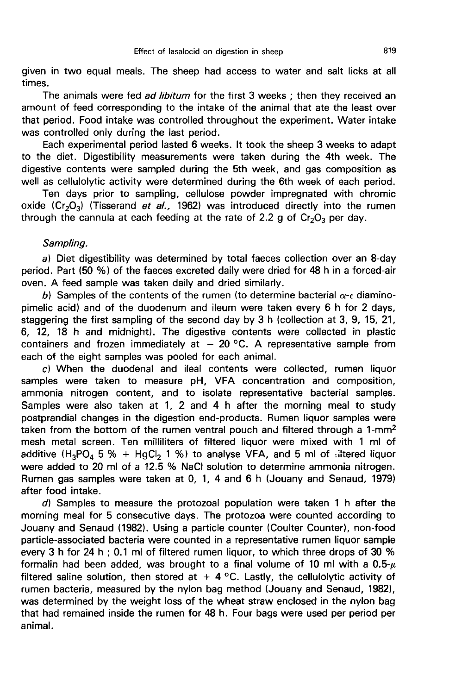given in two equal meals. The sheep had access to water and salt licks at all times.

The animals were fed *ad libitum* for the first 3 weeks : then they received an amount of feed corresponding to the intake of the animal that ate the least over that period. Food intake was controlled throughout the experiment. Water intake was controlled only during the last period.

Each experimental period lasted 6 weeks. It took the sheep 3 weeks to adapt to the diet. Digestibility measurements were taken during the 4th week. The digestive contents were sampled during the 5th week, and gas composition as well as cellulolytic activity were determined during the 6th week of each period.

Ten days prior to sampling, cellulose powder impregnated with chromic well as cellulolytic activity were determined during the 6th week of each period.<br>Ten days prior to sampling, cellulose powder impregnated with chromic<br>oxide  $(Cr_2O_3)$  (Tisserand *et al.,* 1962) was introduced directly i oxide  $(Cr_2O_3)$  (Tisserand *et al.*, 1962) was introduced directly into the rumen through the cannula at each feeding at the rate of 2.2 g of Cr<sub>2</sub>O<sub>3</sub> per day.

#### Sampling.

a) Diet digestibility was determined by total faeces collection over an 8-day period. Part (50 %) of the faeces excreted daily were dried for 48 h in a forced-air oven. A feed sample was taken daily and dried similarly.

b) Samples of the contents of the rumen (to determine bacterial  $\alpha$ - $\epsilon$  diaminopimelic acid) and of the duodenum and ileum were taken every 6 h for 2 days, staggering the first sampling of the second day by 3 h (collection at 3, 9, 15, 21, 6, 12, 18 h and midnight). The digestive contents were collected in plastic containers and frozen immediately at  $-20$  °C. A representative sample from each of the eight samples was pooled for each animal.

c) When the duodenal and ileal contents were collected, rumen liquor samples were taken to measure pH, VFA concentration and composition, ammonia nitrogen content, and to isolate representative bacterial samples. Samples were also taken at 1, 2 and 4 h after the morning meal to study<br>postprandial changes in the digestion end-products. Rumen liquor samples were<br>taken from the bottom of the rumen ventral pouch and filtered through a postprandial changes in the digestion end-products. Rumen liquor samples were<br>taken from the bottom of the rumen ventral pouch and filtered through a 1-mm<sup>2</sup> mesh metal screen. Ten milliliters of filtered liquor were mixed with 1 ml of additive  $(H_3PO_4 5 % + HgCl_2 1 %$  to analyse VFA, and 5 ml of :iltered liquor were added to 20 ml of a 12.5 % NaCl solution to determine ammonia nitrogen. Rumen gas samples were taken at 0, 1, 4 and 6 h (Jouany and Senaud, 1979) after food intake.

d) Samples to measure the protozoal population were taken 1 h after the morning meal for 5 consecutive days. The protozoa were counted according to Jouany and Senaud (1982). Using a particle counter (Coulter Counter), non-food particle-associated bacteria were counted in a representative rumen liquor sample every 3 h for 24 h ; 0.1 ml of filtered rumen liquor, to which three drops of 30 % formalin had been added, was brought to a final volume of 10 ml with a  $0.5-\mu$ filtered saline solution, then stored at  $+ 4$  °C. Lastly, the cellulolytic activity of rumen bacteria, measured by the nylon bag method (Jouany and Senaud, 1982), was determined by the weight loss of the wheat straw enclosed in the nylon bag that had remained inside the rumen for 48 h. Four bags were used per period per animal.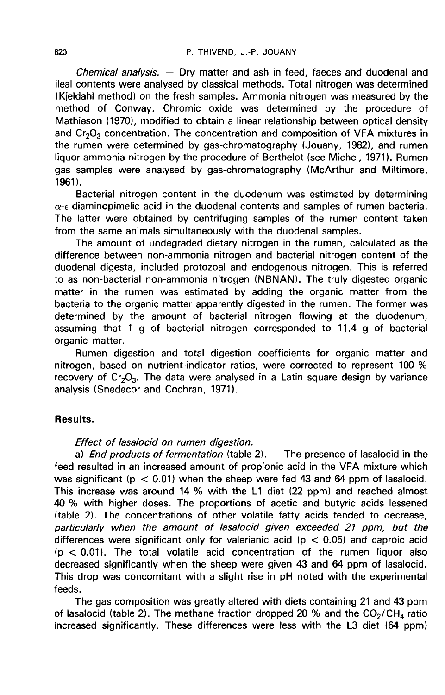*Chemical analysis. —* Dry matter and ash in feed, faeces and duodenal and ileal contents were analysed by classical methods. Total nitrogen was determined (Kjeldahl method) on the fresh samples. Ammonia nitrogen was measured by the method of Conway. Chromic oxide was determined by the procedure of Mathieson (1970), modified to obtain a linear relationship between optical density and  $Cr_2O_3$  concentration. The concentration and composition of VFA mixtures in the rumen were determined by gas-chromatography (Jouany, 1982), and rumen liquor ammonia nitrogen by the procedure of Berthelot (see Michel, 1971). Rumen gas samples were analysed by gas-chromatography (McArthur and Miltimore, 1961).

Bacterial nitrogen content in the duodenum was estimated by determining  $\alpha$ - $\epsilon$  diaminopimelic acid in the duodenal contents and samples of rumen bacteria. The latter were obtained by centrifuging samples of the rumen content taken from the same animals simultaneously with the duodenal samples.

The amount of undegraded dietary nitrogen in the rumen, calculated as the difference between non-ammonia nitrogen and bacterial nitrogen content of the duodenal digesta, included protozoal and endogenous nitrogen. This is referred to as non-bacterial non-ammonia nitrogen (NBNAN). The truly digested organic matter in the rumen was estimated by adding the organic matter from the bacteria to the organic matter apparently digested in the rumen. The former was determined by the amount of bacterial nitrogen flowing at the duodenum, assuming that 1 g of bacterial nitrogen corresponded to 11.4 g of bacterial organic matter.

Rumen digestion and total digestion coefficients for organic matter and nitrogen, based on nutrient-indicator ratios, were corrected to represent 100 % recovery of  $Cr_2O_3$ . The data were analysed in a Latin square design by variance analysis (Snedecor and Cochran, 1971).

### Results.

### Effect of lasalocid on rumen digestion.

a) End-products of fermentation (table 2).  $-$  The presence of lasalocid in the feed resulted in an increased amount of propionic acid in the VFA mixture which was significant ( $p < 0.01$ ) when the sheep were fed 43 and 64 ppm of lasalocid. This increase was around 14 % with the L1 diet (22 ppm) and reached almost 40 % with higher doses. The proportions of acetic and butyric acids lessened (table 2). The concentrations of other volatile fatty acids tended to decrease, particularly when the amount of lasalocid given exceeded 21 ppm, but the differences were significant only for valerianic acid ( $p < 0.05$ ) and caproic acid  $(p < 0.01)$ . The total volatile acid concentration of the rumen liquor also decreased significantly when the sheep were given 43 and 64 ppm of lasalocid. This drop was concomitant with a slight rise in pH noted with the experimental feeds.

The gas composition was greatly altered with diets containing 21 and 43 ppm of lasalocid (table 2). The methane fraction dropped 20 % and the  $CO_2/CH_4$  ratio This drop was concomitant with a slight rise in pH noted with the experimental feeds.<br>The gas composition was greatly altered with diets containing 21 and 43 ppm<br>of lasalocid (table 2). The methane fraction dropped 20 % a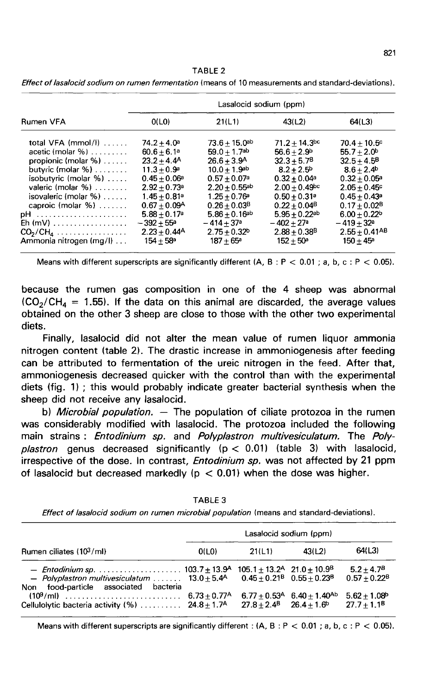| TABLE 2 |  |  |  |
|---------|--|--|--|
|---------|--|--|--|

|                                                                                                                                                                                                                                     | Lasalocid sodium (ppm)                                                                                                                                                                                                                                   |                                                                                                                                                                                                                                                                                                |                                                                                                                                                                                                                                                           |                                                                                                                                                                                                                      |  |  |
|-------------------------------------------------------------------------------------------------------------------------------------------------------------------------------------------------------------------------------------|----------------------------------------------------------------------------------------------------------------------------------------------------------------------------------------------------------------------------------------------------------|------------------------------------------------------------------------------------------------------------------------------------------------------------------------------------------------------------------------------------------------------------------------------------------------|-----------------------------------------------------------------------------------------------------------------------------------------------------------------------------------------------------------------------------------------------------------|----------------------------------------------------------------------------------------------------------------------------------------------------------------------------------------------------------------------|--|--|
| Rumen VFA                                                                                                                                                                                                                           | O(LO)                                                                                                                                                                                                                                                    | 21(L1)                                                                                                                                                                                                                                                                                         | 43(L2)                                                                                                                                                                                                                                                    | 64(L3)                                                                                                                                                                                                               |  |  |
| total VFA $(mmol/l)$<br>acetic (molar $\%$ )<br>propionic (molar $\%$ )<br>butyric (molar $\%$ )<br>isobutyric (molar $%$ )<br>valeric (molar $\%$ )<br>isovaleric (molar $\%$ )<br>caproic (molar $\%$ )<br>$Eh$ (mV)<br>$CO2/CH4$ | $74.2 + 4.0^a$<br>$60.6 + 6.1a$<br>$23.2 + 4.4^{\circ}$<br>$11.3 + 0.9^a$<br>$0.45 + 0.06^a$<br>$2.92 + 0.73$ <sup>a</sup><br>$1.45 + 0.81$ <sup>a</sup><br>$0.67 + 0.09A$<br>$5.88 + 0.17$ <sup>a</sup><br>$-392 + 55^{\circ}$<br>$2.23 + 0.44^{\circ}$ | $73.6 + 15.0$ <sup>ab</sup><br>$59.0 + 1.7$ <sup>ab</sup><br>$26.6 + 3.9A$<br>$10.0 + 1.9$ <sup>ab</sup><br>$0.57 + 0.07$ <sup>a</sup><br>$2.20 + 0.55$ <sup>ab</sup><br>$1.25 + 0.76^{\circ}$<br>$0.26 + 0.03$ <sup>B</sup><br>$5.86 + 0.16^{ab}$<br>$-414+37$ <sup>a</sup><br>$2.75 + 0.32b$ | $71.2 + 14.3$ <sup>bc</sup><br>$56.6 + 2.9b$<br>$32.3 + 5.7B$<br>$8.2 + 2.5^{\circ}$<br>$0.32 + 0.04$ a<br>$2.00 + 0.49$ <sup>bc</sup><br>$0.50 + 0.31$ <sup>a</sup><br>$0.22 + 0.04^8$<br>$5.95 + 0.22$ ab<br>$-402 + 27a$<br>$2.88 + 0.38$ <sup>B</sup> | $70.4 + 10.5$ c<br>$55.7 + 2.0^b$<br>$32.5 + 4.5^8$<br>$8.6 + 2.4$<br>$0.32 + 0.05^{\circ}$<br>$2.05 + 0.45$ °<br>$0.45 + 0.43$ <sup>a</sup><br>$0.17 + 0.02B$<br>$6.00 + 0.22b$<br>$-419+32a$<br>$2.55 + 0.41^{AB}$ |  |  |
| Ammonia nitrogen (mg/l)                                                                                                                                                                                                             | $154 + 58^{\circ}$                                                                                                                                                                                                                                       | $187 + 65^{\circ}$                                                                                                                                                                                                                                                                             | $152 + 50^{\circ}$                                                                                                                                                                                                                                        | $150 + 45^{\circ}$                                                                                                                                                                                                   |  |  |

Effect of lasalocid sodium on rumen fermentation (means of 10 measurements and standard-deviations).

because the rumen gas composition in one of the 4 sheep was abnormal Means with different superscripts are significantly different  $(A, B : P < 0.01; a, b, c : P < 0.05)$ .<br>because the rumen gas composition in one of the 4 sheep was abnormal  $(CO_2/CH_4 = 1.55)$ . If the data on this animal are discarded, obtained on the other 3 sheep are close to those with the other two experimental diets.

Finally, lasalocid did not alter the mean value of rumen liquor ammonia nitrogen content (table 2). The drastic increase in ammoniogenesis after feeding can be attributed to fermentation of the ureic nitrogen in the feed. After that, ammoniogenesis decreased quicker with the control than with the experimental diets (fig. 1) ; this would probably indicate greater bacterial synthesis when the sheep did not receive any lasalocid.

b) *Microbial population.* — The population of ciliate protozoa in the rumen was considerably modified with lasalocid. The protozoa included the following main strains : Entodinium sp. and Polyplastron multivesiculatum. The Polyplastron genus decreased significantly  $(p < 0.01)$  (table 3) with lasalocid, irrespective of the dose. In contrast, *Entodinium sp.* was not affected by 21 ppm of lasalocid but decreased markedly ( $p < 0.01$ ) when the dose was higher.

| Rumen ciliates (103/ml)                                                                                                                   | Lasalocid sodium (ppm) |        |                                                        |                                             |
|-------------------------------------------------------------------------------------------------------------------------------------------|------------------------|--------|--------------------------------------------------------|---------------------------------------------|
|                                                                                                                                           | O(LO)                  | 21(L1) | 43(12)                                                 | 64(L3)                                      |
| - Polyplastron multivesiculatum $13.0 \pm 5.4$ 0.45 + 0.21 <sup>8</sup> 0.55 + 0.23 <sup>8</sup><br>Non food-particle associated bacteria |                        |        |                                                        | $5.2 + 4.7B$<br>$0.57 + 0.22^B$             |
| Cellulolytic bacteria activity (%) $24.8 \pm 1.7$ <sup>A</sup> $27.8 \pm 2.4$ <sup>B</sup> $26.4 \pm 1.6$ <sup>b</sup>                    |                        |        | $6.77 + 0.53$ <sup>A</sup> $6.40 + 1.40$ <sup>Ab</sup> | $5.62 + 1.08$ <sup>b</sup><br>$27.7 + 1.1B$ |

TABLE 3

Effect of lasalocid sodium on rumen microbial population (means and standard-deviations).

Means with different superscripts are significantly different:  $(A, B, P < 0.01 : a, b, c : P < 0.05)$ .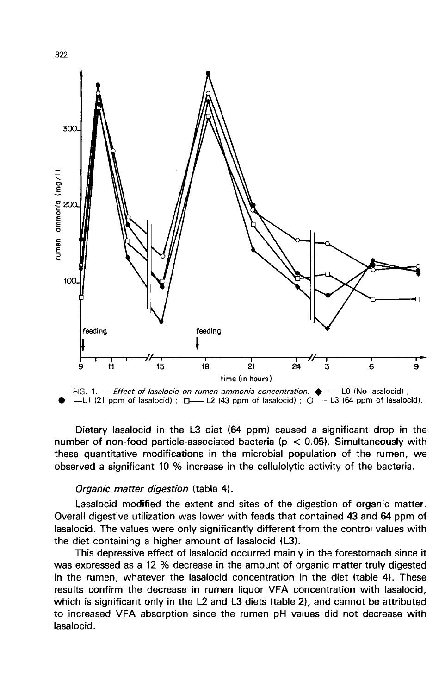

Dietary lasalocid in the L3 diet (64 ppm) caused a significant drop in the number of non-food particle-associated bacteria ( $p < 0.05$ ). Simultaneously with these quantitative modifications in the microbial population of the rumen, we observed a significant 10 % increase in the cellulolytic activity of the bacteria.

## Organic matter digestion (table 4).

Lasalocid modified the extent and sites of the digestion of organic matter. Overall digestive utilization was lower with feeds that contained 43 and 64 ppm of lasalocid. The values were only significantly different from the control values with the diet containing a higher amount of lasalocid (L3).

This depressive effect of lasalocid occurred mainly in the forestomach since it was expressed as a 12 % decrease in the amount of organic matter truly digested in the rumen, whatever the lasalocid concentration in the diet (table 4). These results confirm the decrease in rumen liquor VFA concentration with lasalocid, which is significant only in the L2 and L3 diets (table 2), and cannot be attributed to increased VFA absorption since the rumen pH values did not decrease with lasalocid.

822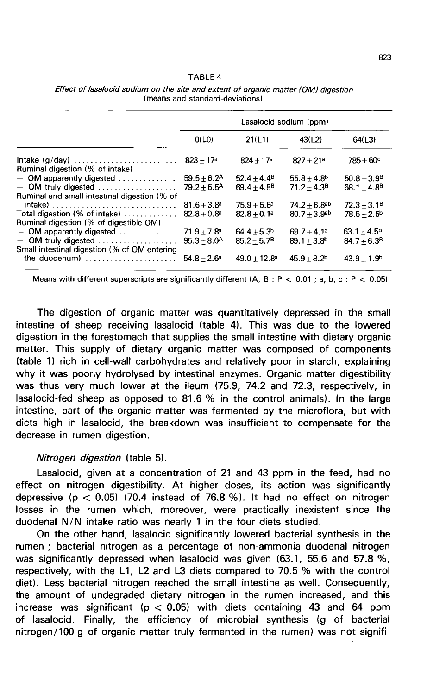#### TABIF4

|                                                                                                                          | Lasalocid sodium (ppm)                             |                                 |                                                          |                                       |
|--------------------------------------------------------------------------------------------------------------------------|----------------------------------------------------|---------------------------------|----------------------------------------------------------|---------------------------------------|
|                                                                                                                          | O(L <sub>0</sub> )                                 | 21(L1)                          | 43(L2)                                                   | 64(1.3)                               |
| Intake $(g/day)$<br>Ruminal digestion (% of intake)                                                                      | $823 + 17a$                                        | $824 + 17a$                     | $827 + 21a$                                              | $785 + 60^{\circ}$                    |
| $-$ OM apparently digested $\ldots \ldots \ldots$<br>- OM truly digested<br>Ruminal and small intestinal digestion (% of | $59.5 + 6.2^{\text{A}}$<br>$79.2 + 6.5^{\text{A}}$ | $52.4 + 4.4^8$<br>$69.4 + 4.8B$ | $55.8 + 4.8^{b}$<br>$71.2 + 4.3B$                        | $50.8 + 3.9^{\circ}$<br>$68.1 + 4.8B$ |
| Total digestion (% of intake) $\ldots \ldots \ldots$<br>Ruminal digestion (% of digestible OM)                           | $81.6 + 3.8^a$<br>$82.8 + 0.8$ <sup>a</sup>        | $75.9 + 5.6^a$<br>$82.8 + 0.1a$ | $74.2 + 6.8$ <sup>ab</sup><br>$80.7 + 3.9$ <sup>ab</sup> | $72.3 + 3.1B$<br>$78.5 + 2.5^{\rm b}$ |
| $-$ OM apparently digested $\ldots$<br>$-$ OM truly digested<br>Small intestinal digestion (% of OM entering             | $71.9 + 7.8$ <sup>a</sup><br>$95.3 + 8.0^{\circ}$  | $64.4 + 5.3b$<br>$85.2 + 5.7B$  | $69.7 + 4.1a$<br>$89.1 + 3.8^{b}$                        | $63.1 + 4.5b$<br>$84.7 + 6.3B$        |
| the duodenum) $\ldots$ , $\ldots$ , $\ldots$                                                                             | $54.8 + 2.6^a$                                     | $49.0 + 12.8^{\circ}$           | $45.9 + 8.2b$                                            | $43.9 + 1.9b$                         |

Effect of lasalocid sodium on the site and extent of organic matter (OM) digestion (means and standard-deviations).

Means with different superscripts are significantly different (A, B : P < 0.01; a, b, c : P < 0.05).

The digestion of organic matter was quantitatively depressed in the small intestine of sheep receiving lasalocid (table 4). This was due to the lowered digestion in the forestomach that supplies the small intestine with dietary organic matter. This supply of dietary organic matter was composed of components (table 1) rich in cell-wall carbohydrates and relatively poor in starch, explaining why it was poorly hydrolysed by intestinal enzymes. Organic matter digestibility was thus very much lower at the ileum (75.9, 74.2 and 72.3, respectively, in lasalocid-fed sheep as opposed to 81.6 % in the control animals). In the large intestine, part of the organic matter was fermented by the microflora, but with diets high in lasalocid, the breakdown was insufficient to compensate for the decrease in rumen digestion.

#### Nitrogen digestion (table 5).

Lasalocid, given at a concentration of 21 and 43 ppm in the feed, had no effect on nitrogen digestibility. At higher doses, its action was significantly depressive ( $p < 0.05$ ) (70.4 instead of 76.8 %). It had no effect on nitrogen losses in the rumen which, moreover, were practically inexistent since the duodenal N/N intake ratio was nearly 1 in the four diets studied.

On the other hand, lasalocid significantly lowered bacterial synthesis in the rumen ; bacterial nitrogen as a percentage of non-ammonia duodenal nitrogen was significantly depressed when lasalocid was given (63.1, 55.6 and 57.8 %, respectively, with the L1, L2 and L3 diets compared to 70.5 % with the control diet). Less bacterial nitrogen reached the small intestine as well. Consequently, the amount of undegraded dietary nitrogen in the rumen increased, and this increase was significant ( $p < 0.05$ ) with diets containing 43 and 64 ppm of lasalocid. Finally, the efficiency of microbial synthesis (g of bacterial nitrogen/100 g of organic matter truly fermented in the rumen) was not signifi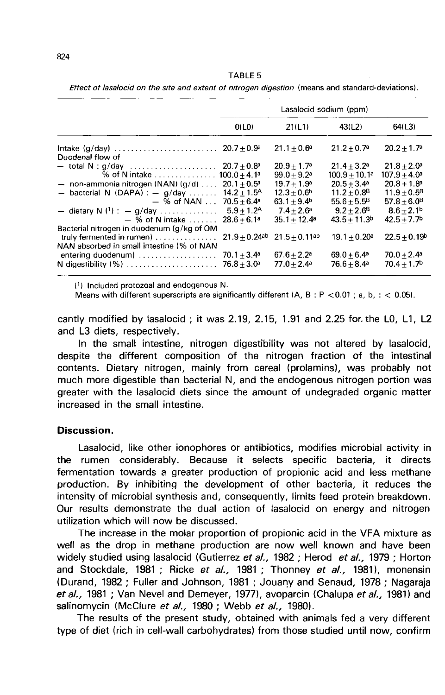Effect of lasalocid on the site and extent of nitrogen digestion (means and standard-deviations).

|                                                                                                              | Lasalocid sodium (ppm)                      |                                                         |                                             |                                            |
|--------------------------------------------------------------------------------------------------------------|---------------------------------------------|---------------------------------------------------------|---------------------------------------------|--------------------------------------------|
|                                                                                                              | O(LO)                                       | 21(L1)                                                  | 43(L2)                                      | 64(L3)                                     |
| Intake $(g/day)$<br>Duodenal flow of                                                                         | $20.7 + 0.9a$                               | $21.1 + 0.6^a$                                          | $21.2 + 0.7$ <sup>a</sup>                   | $20.2 + 1.7a$                              |
| $-$ total N : g/day $\ldots \ldots \ldots \ldots \ldots \ldots$<br>% of N intake $\dots\dots\dots\dots\dots$ | $20.7 + 0.8$ <sup>a</sup><br>$100.0 + 4.1a$ | $20.9 + 1.7$ <sup>a</sup><br>$99.0 + 9.2$ <sup>a</sup>  | $21.4 + 3.2^a$<br>$100.9+10.1$ a            | $21.8 + 2.0^a$<br>$107.9 + 4.0^a$          |
| $-$ non-ammonia nitrogen (NAN) (g/d)<br>- bacterial N (DAPA) : $-$ g/day                                     | $20.1 + 0.5^a$<br>$14.2 + 1.5^{\text{A}}$   | $19.7 + 1.9a$<br>$12.3 + 0.6^{\rm b}$                   | $20.5 + 3.4^a$<br>$11.2 + 0.8B$             | $20.8 + 1.8$ <sup>a</sup><br>$11.9 + 0.5B$ |
| $-$ % of NAN $\dots$<br>- dietary N $(1)$ : - g/day                                                          | $70.5 + 6.4^a$<br>$5.9 + 1.2A$              | $63.1 + 9.4b$<br>$7.4 + 2.6^a$                          | $55.6 + 5.5^B$<br>$9.2 + 2.6^8$             | $57.8 + 6.0B$<br>$8.6 + 2.1b$              |
| $-$ % of N intake $\ldots$<br>Bacterial nitrogen in duodenum (g/kg of OM                                     | $28.6 + 6.1a$                               | $35.1 + 12.4$ <sup>a</sup>                              | $43.5 + 11.3b$                              | $42.5 + 7.7b$                              |
| truly fermented in rumen $\vert$                                                                             |                                             | $21.9 + 0.24$ <sup>ab</sup> $21.5 + 0.11$ <sup>ab</sup> | $19.1 + 0.20^a$                             | $22.5 + 0.19b$                             |
| NAN absorbed in small intestine (% of NAN<br>entering duodenum)<br>N digestibility (%)                       | $70.1 + 3.4^a$<br>$76.8 + 3.0^a$            | $67.6 + 2.2$ <sup>a</sup><br>$77.0 + 2.4a$              | $69.0 + 6.4$ <sup>a</sup><br>$76.6 + 8.4^a$ | $70.0 + 2.4^a$<br>$70.4 + 1.7b$            |

(1) Included protozoal and endogenous N.

Means with different superscripts are significantly different (A, B : P < 0.01; a, b, : < 0.05).

cantly modified by lasalocid ; it was 2.19, 2.15, 1.91 and 2.25 for. the L0, L1, L2 and L3 diets, respectively.

In the small intestine, nitrogen digestibility was not altered by lasalocid, despite the different composition of the nitrogen fraction of the intestinal contents. Dietary nitrogen, mainly from cereal (prolamins), was probably not much more digestible than bacterial N, and the endogenous nitrogen portion was greater with the lasalocid diets since the amount of undegraded organic matter increased in the small intestine.

### Discussion.

Lasalocid, like other ionophores or antibiotics, modifies microbial activity in the rumen considerably. Because it selects specific bacteria, it directs fermentation towards a greater production of propionic acid and less methane production. By inhibiting the development of other bacteria, it reduces the intensity of microbial synthesis and, consequently, limits feed protein breakdown. Our results demonstrate the dual action of lasalocid on energy and nitrogen utilization which will now be discussed.

The increase in the molar proportion of propionic acid in the VFA mixture as well as the drop in methane production are now well known and have been widely studied using lasalocid (Gutierrez et al., 1982 ; Herod et al., 1979 ; Horton and Stockdale, 1981 ; Ricke et al., 1981 ; Thonney et al., 1981), monensin (Durand, 1982 ; Fuller and Johnson, 1981 ; Jouany and Senaud, 1978 ; Nagaraja et al., 1981; Van Nevel and Demeyer, 1977), avoparcin (Chalupa et al., 1981) and salinomycin (McClure et al., 1980; Webb et al., 1980).

The results of the present study, obtained with animals fed a very different type of diet (rich in cell-wall carbohydrates) from those studied until now, confirm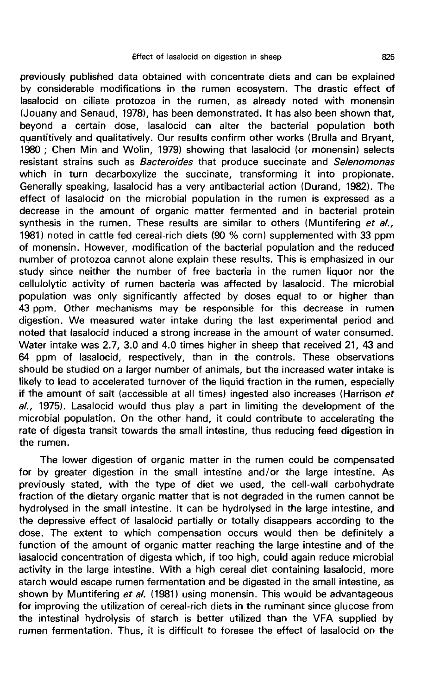previously published data obtained with concentrate diets and can be explained by considerable modifications in the rumen ecosystem. The drastic effect of lasalocid on ciliate protozoa in the rumen, as already noted with monensin (Jouany and Senaud, 1978), has been demonstrated. It has also been shown that, beyond a certain dose, lasalocid can alter the bacterial population both quantitively and qualitatively. Our results confirm other works (Brulla and Bryant, 1980 ; Chen Min and Wolin, 1979) showing that lasalocid (or monensin) selects resistant strains such as *Bacteroides* that produce succinate and Selenomonas which in turn decarboxylize the succinate, transforming it into propionate. Generally speaking, lasalocid has a very antibacterial action (Durand, 1982). The effect of lasalocid on the microbial population in the rumen is expressed as a decrease in the amount of organic matter fermented and in bacterial protein synthesis in the rumen. These results are similar to others (Muntifering et al., 1981) noted in cattle fed cereal-rich diets (90 % corn) supplemented with 33 ppm of monensin. However, modification of the bacterial population and the reduced number of protozoa cannot alone explain these results. This is emphasized in our study since neither the number of free bacteria in the rumen liquor nor the cellulolytic activity of rumen bacteria was affected by lasalocid. The microbial population was only significantly affected by doses equal to or higher than 43 ppm. Other mechanisms may be responsible for this decrease in rumen digestion. We measured water intake during the last experimental period and noted that lasalocid induced a strong increase in the amount of water consumed. Water intake was 2.7, 3.0 and 4.0 times higher in sheep that received 21, 43 and 64 ppm of lasalocid, respectively, than in the controls. These observations should be studied on a larger number of animals, but the increased water intake is likely to lead to accelerated turnover of the liquid fraction in the rumen, especially if the amount of salt (accessible at all times) ingested also increases (Harrison et al., 1975). Lasalocid would thus play a part in limiting the development of the microbial population. On the other hand, it could contribute to accelerating the rate of digesta transit towards the small intestine, thus reducing feed digestion in the rumen.

The lower digestion of organic matter in the rumen could be compensated for by greater digestion in the small intestine and/or the large intestine. As previously stated, with the type of diet we used, the cell-wall carbohydrate fraction of the dietary organic matter that is not degraded in the rumen cannot be hydrolysed in the small intestine. It can be hydrolysed in the large intestine, and the depressive effect of lasalocid partially or totally disappears according to the dose. The extent to which compensation occurs would then be definitely a function of the amount of organic matter reaching the large intestine and of the lasalocid concentration of digesta which, if too high, could again reduce microbial activity in the large intestine. With a high cereal diet containing lasalocid, more starch would escape rumen fermentation and be digested in the small intestine, as shown by Muntifering et al. (1981) using monensin. This would be advantageous for improving the utilization of cereal-rich diets in the ruminant since glucose from the intestinal hydrolysis of starch is better utilized than the VFA supplied by rumen fermentation. Thus, it is difficult to foresee the effect of lasalocid on the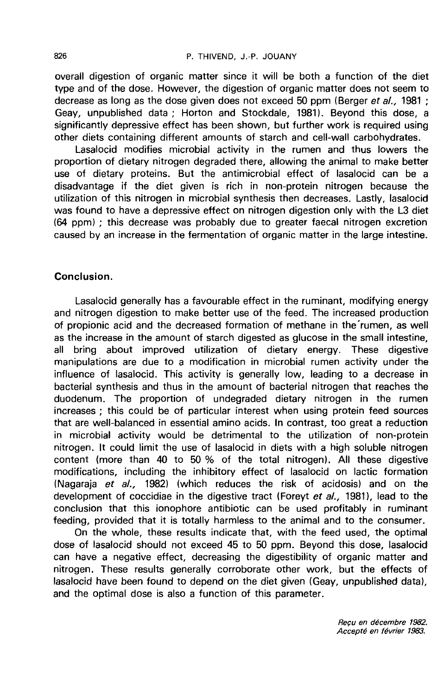overall digestion of organic matter since it will be both a function of the diet type and of the dose. However, the digestion of organic matter does not seem to decrease as long as the dose given does not exceed 50 ppm (Berger et  $al.$ , 1981 ; Geay, unpublished data ; Horton and Stockdale, 1981). Beyond this dose, a significantly depressive effect has been shown, but further work is required using other diets containing different amounts of starch and cell-wall carbohydrates.

Lasalocid modifies microbial activity in the rumen and thus lowers the proportion of dietary nitrogen degraded there, allowing the animal to make better use of dietary proteins. But the antimicrobial effect of lasalocid can be a disadvantage if the diet given is rich in non-protein nitrogen because the utilization of this nitrogen in microbial synthesis then decreases. Lastly, lasalocid was found to have a depressive effect on nitrogen digestion only with the L3 diet (64 ppm) ; this decrease was probably due to greater faecal nitrogen excretion caused by an increase in the fermentation of organic matter in the large intestine.

## Conclusion.

Lasalocid generally has a favourable effect in the ruminant, modifying energy and nitrogen digestion to make better use of the feed. The increased production of propionic acid and the decreased formation of methane in the rumen, as well as the increase in the amount of starch digested as glucose in the small intestine, all bring about improved utilization of dietary energy. These digestive manipulations are due to a modification in microbial rumen activity under the influence of lasalocid. This activity is generally low, leading to a decrease in bacterial synthesis and thus in the amount of bacterial nitrogen that reaches the duodenum. The proportion of undegraded dietary nitrogen in the rumen increases ; this could be of particular interest when using protein feed sources that are well-balanced in essential amino acids. In contrast, too great a reduction in microbial activity would be detrimental to the utilization of non-protein nitrogen. It could limit the use of lasalocid in diets with a high soluble nitrogen content (more than 40 to 50 % of the total nitrogen). All these digestive modifications, including the inhibitory effect of lasalocid on lactic formation (Nagaraja et  $al.$ , 1982) (which reduces the risk of acidosis) and on the development of coccidiae in the digestive tract (Foreyt et al., 1981), lead to the conclusion that this ionophore antibiotic can be used profitably in ruminant feeding, provided that it is totally harmless to the animal and to the consumer.

On the whole, these results indicate that, with the feed used, the optimal dose of lasalocid should not exceed 45 to 50 ppm. Beyond this dose, lasalocid can have a negative effect, decreasing the digestibility of organic matter and nitrogen. These results generally corroborate other work, but the effects of lasalocid have been found to depend on the diet given (Geay, unpublished data), and the optimal dose is also a function of this parameter.

Recu en décembre 1982. Accepte en février 1983.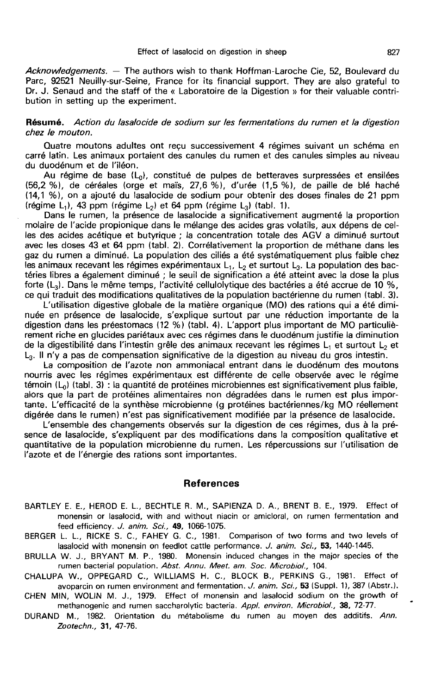Acknowledgements. — The authors wish to thank Hoffman-Laroche Cie, 52, Boulevard du Parc, 92521 Neuilly-sur-Seine, France for its financial support. They are also grateful to Dr. J. Senaud and the staff of the « Laboratoire de la Digestion » for their valuable contribution in setting up the experiment.

#### Résumé. Action du lasalocide de sodium sur les fermentations du rumen et la digestion chez le mouton.

Quatre moutons adultes ont reçu successivement 4 régimes suivant un schéma en carré latin. Les animaux portaient des canules du rumen et des canules simples au niveau du duodénum et de l'iléon.

Au régime de base  $(L_0)$ , constitué de pulpes de betteraves surpressées et ensilées (56,2 %), de céréales (orge et maïs, 27,6 %), d'urée (1,5 %), de paille de blé haché (14,1 %), on a ajouté du lasalocide de sodium pour obtenir des doses finales de 21 ppm (régime L<sub>1</sub>), 43 ppm (régime L<sub>2</sub>) et 64 ppm (régime L<sub>3</sub>) (tabl. 1).

Dans le rumen, la présence de lasalocide a significativement augmenté la proportion molaire de l'acide propionique dans le mélange des acides gras volatils, aux dépens de celles des acides acétique et butyrique ; la concentration totale des AGV a diminué surtout avec les doses 43 et 64 ppm (tabl. 2). Corrélativement la proportion de méthane dans les gaz du rumen a diminué. La population des ciliés a été systématiquement plus faible chez les animaux recevant les régimes expérimentaux  $L_1$ ,  $L_2$  et surtout  $L_3$ . La population des bactéries libres a également diminué ; le seuil de signification a été atteint avec la dose la plus<br>forte (L<sub>3</sub>). Dans le même temps, l'activité cellulolytique des bactéries a été accrue de 10 %,<br>ce qui traduit des modificati

L'utilisation digestive globale de la matière organique (MO) des rations qui a été diminuée en présence de lasalocide, s'explique surtout par une réduction importante de la digestion dans les préestomacs (12 %) (tabl. 4). L'apport plus important de MO particuliè- rement riche en glucides pariétaux avec ces régimes dans le duodénum justifie la diminution de la digestibilité dans l'intestin grêle des animaux recevant les régimes  $L_1$  et surtout  $L_2$  et L3. Il n'y a pas de compensation significative de la digestion au niveau du gros intestin.

La composition de l'azote non ammoniacal entrant dans le duodénum des moutons nourris avec les régimes expérimentaux est différente de celle observée avec le régime témoin  $(L_0)$  (tabl. 3) : la quantité de protéines microbiennes est significativement plus faible, alors que la part de protéines alimentaires non dégradées dans le rumen est plus importante. L'efficacité de la synthèse microbienne (g protéines bactériennes/kg MO réellement digérée dans le rumen) n'est pas significativement modifiée par la présence de lasalocide.

L'ensemble des changements observés sur la digestion de ces régimes, dus à la pré sence de lasalocide, s'expliquent par des modifications dans la composition qualitative et quantitative de la population microbienne du rumen. Les répercussions sur l'utilisation de l'azote et de l'énergie des rations sont importantes.

#### References

- BARTLEY E. E., HEROD E. L., BECHTLE R. M., SAPIENZA D. A., BRENT B. E., 1979. Effect of monensin or lasalocid, with and without niacin or amicloral, on rumen fermentation and feed efficiency. J. anim. Sci., 49, 1066-1075.
- BERGER L. L., RICKE S. C., FAHEY G. C., 1981. Comparison of two forms and two levels of lasalocid with monensin on feedlot cattle performance. J. anim. Sci., 53, 1440-1445.
- BRULLA W. J., BRYANT M. P., 1980. Monensin induced changes in the major species of the rumen bacterial population. Abst. Annu. Meet. am. Soc. Microbiol., 104.
- CHALUPA W., OPPEGARD C., WILLIAMS H. C., BLOCK B., PERKINS G., 1981. Effect of avoparcin on rumen environment and fermentation. J. anim. Sci., 53 (Suppl. 1), 387 (Abstr.).
- CHEN MIN, WOLIN M. J., 1979. Effect of monensin and lasalocid sodium on the growth of methanogenic and rumen saccharolytic bacteria. Appl. environ. Microbiol., 38, 72-77.
- DURAND M., 1982. Orientation du m6tabolisme du rumen au moyen des additifs. Ann. Zootechn., 31, 47-76.